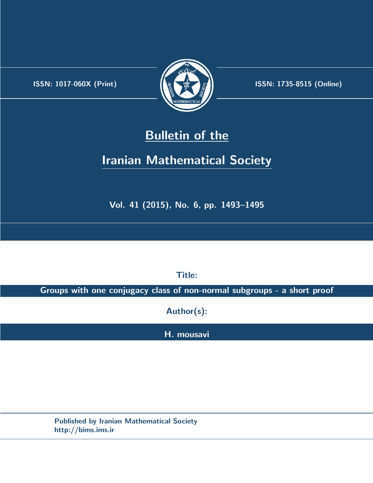.



**ISSN:** 1017-060X (Print)  $\left| \left( \frac{1}{2} \sum \frac{1}{k} \right) \right|$  **ISSN:** 1735-8515 (Online)

## **Bulletin of the**

# **Iranian Mathematical Society**

**Vol. 41 (2015), No. 6, pp. 1493–1495**

**Title:**

**Groups with one conjugacy class of non-normal subgroups - a short proof**

**Author(s):**

**H. mousavi**

**Published by Iranian Mathematical Society http://bims.ims.ir**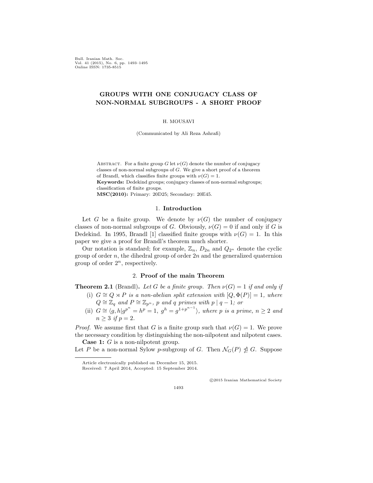Bull. Iranian Math. Soc. Vol. 41 (2015), No. 6, pp. 1493–1495 Online ISSN: 1735-8515

## **GROUPS WITH ONE CONJUGACY CLASS OF NON-NORMAL SUBGROUPS - A SHORT PROOF**

#### H. MOUSAVI

(Communicated by Ali Reza Ashrafi)

ABSTRACT. For a finite group  $G$  let  $\nu(G)$  denote the number of conjugacy classes of non-normal subgroups of *G*. We give a short proof of a theorem of Brandl, which classifies finite groups with  $\nu(G) = 1$ . **Keywords:** Dedekind groups; conjugacy classes of non-normal subgroups; classification of finite groups. **MSC(2010):** Primary: 20D25; Secondary: 20E45.

#### 1. **Introduction**

Let *G* be a finite group. We denote by  $\nu(G)$  the number of conjugacy classes of non-normal subgroups of *G*. Obviously,  $\nu(G) = 0$  if and only if *G* is Dedekind. In 1995, Brandl [[1\]](#page-3-0) classified finite groups with  $\nu(G) = 1$ . In this paper we give a proof for Brandl's theorem much shorter.

Our notation is standard; for example,  $\mathbb{Z}_n$ ,  $D_{2n}$  and  $Q_{2^n}$  denote the cyclic group of order *n*, the dihedral group of order 2*n* and the generalized quaternion group of order  $2^n$ , respectively.

### 2. **Proof of the main Theorem**

**Theorem 2.1** (Brandl). Let G be a finite group. Then  $\nu(G) = 1$  if and only if

- (i)  $G \cong Q \rtimes P$  *is a non-abelian split extension with*  $[Q, \Phi(P)] = 1$ *, where*  $Q \cong \mathbb{Z}_q$  *and*  $P \cong \mathbb{Z}_{p^n}$ , *p and q primes with*  $p | q - 1$ *; or*
- (ii)  $G \cong \langle g, h | g^{p^n} = h^p = 1, g^h = g^{1+p^{n-1}} \rangle$ , where p is a prime,  $n \ge 2$  and  $n > 3$  *if*  $p = 2$ .

*Proof.* We assume first that *G* is a finite group such that  $\nu(G) = 1$ . We prove the necessary condition by distinguishing the non-nilpotent and nilpotent cases. **Case 1:** *G* is a non-nilpotent group.

Let *P* be a non-normal Sylow *p*-subgroup of *G*. Then  $\mathcal{N}_G(P) \nleq G$ . Suppose

*⃝*c 2015 Iranian Mathematical Society

1493

Article electronically published on December 15, 2015. Received: 7 April 2014, Accepted: 15 September 2014.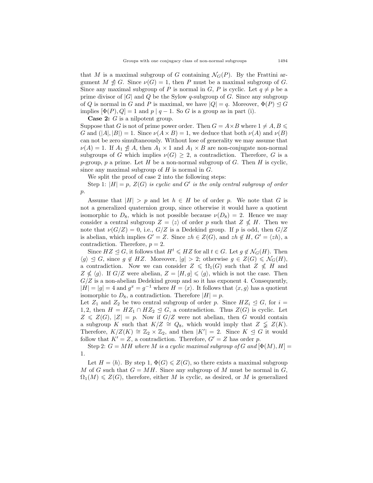that *M* is a maximal subgroup of *G* containing  $\mathcal{N}_G(P)$ . By the Frattini argument  $M \ntrianglelefteq G$ . Since  $\nu(G) = 1$ , then *P* must be a maximal subgroup of *G*. Since any maximal subgroup of *P* is normal in *G*, *P* is cyclic. Let  $q \neq p$  be a prime divisor of  $|G|$  and  $Q$  be the Sylow *q*-subgroup of  $G$ . Since any subgroup of *Q* is normal in *G* and *P* is maximal, we have  $|Q| = q$ . Moreover,  $\Phi(P) \leq G$ implies  $[\Phi(P), Q] = 1$  and  $p | q - 1$ . So *G* is a group as in part (i).

**Case 2:** *G* is a nilpotent group.

Suppose that *G* is not of prime power order. Then  $G = A \times B$  where  $1 \neq A, B \leq \emptyset$ *G* and  $(|A|, |B|) = 1$ . Since  $\nu(A \times B) = 1$ , we deduce that both  $\nu(A)$  and  $\nu(B)$ can not be zero simultaneously. Without lose of generality we may assume that  $\nu(A) = 1$ . If  $A_1 \nleq A$ , then  $A_1 \times 1$  and  $A_1 \times B$  are non-conjugate non-normal subgroups of *G* which implies  $\nu(G) \geq 2$ , a contradiction. Therefore, *G* is a *p*-group, *p* a prime. Let *H* be a non-normal subgroup of *G*. Then *H* is cyclic, since any maximal subgroup of *H* is normal in *G*.

We split the proof of case 2 into the following steps:

Step 1: *|H|* = *p, Z*(*G*) *is cyclic and G′ is the only central subgroup of order p*.

Assume that  $|H| > p$  and let  $h \in H$  be of order p. We note that G is not a generalized quaternion group, since otherwise it would have a quotient isomorphic to  $D_8$ , which is not possible because  $\nu(D_8) = 2$ . Hence we may consider a central subgroup  $Z = \langle z \rangle$  of order p such that  $Z \nleq H$ . Then we note that  $\nu(G/Z) = 0$ , i.e.,  $G/Z$  is a Dedekind group. If *p* is odd, then  $G/Z$ is abelian, which implies  $G' = Z$ . Since  $zh \in Z(G)$ , and  $zh \notin H$ ,  $G' = \langle zh \rangle$ , a contradiction. Therefore,  $p = 2$ .

Since  $HZ \leq G$ , it follows that  $H^t \leq HZ$  for all  $t \in G$ . Let  $g \notin \mathcal{N}_G(H)$ . Then  $\langle g \rangle$  ≤ *G*, since *g* ∉ *HZ*. Moreover,  $|g| > 2$ ; otherwise *g* ∈ *Z*(*G*) ≤  $\mathcal{N}_G(H)$ , a contradiction. Now we can consider  $Z \leq \Omega_1(G)$  such that  $Z \nleq H$  and  $Z \nleq \langle g \rangle$ . If  $G/Z$  were abelian,  $Z = [H, g] \leq \langle g \rangle$ , which is not the case. Then  $G/Z$  is a non-abelian Dedekind group and so it has exponent 4. Consequently,  $|H| = |g| = 4$  and  $g^x = g^{-1}$  where  $H = \langle x \rangle$ . It follows that  $\langle x, g \rangle$  has a quotient isomorphic to  $D_8$ , a contradiction. Therefore  $|H| = p$ .

Let  $Z_1$  and  $Z_2$  be two central subgroup of order *p*. Since  $HZ_i \trianglelefteq G$ , for  $i =$ 1,2, then  $H = HZ_1 \cap HZ_2 \leq G$ , a contradiction. Thus  $Z(G)$  is cyclic. Let  $Z \leq Z(G)$ ,  $|Z| = p$ . Now if  $G/Z$  were not abelian, then *G* would contain a subgroup *K* such that  $K/Z \cong Q_8$ , which would imply that  $Z \subsetneq Z(K)$ . Therefore,  $K/Z(K) \cong \mathbb{Z}_2 \times \mathbb{Z}_2$ , and then  $|K'| = 2$ . Since  $K \leq G$  it would follow that  $K' = Z$ , a contradiction. Therefore,  $G' = Z$  has order p.

Step 2:  $G = MH$  where M is a cyclic maximal subgroup of G and  $[\Phi(M), H] =$ 1.

Let  $H = \langle h \rangle$ . By step 1,  $\Phi(G) \leq Z(G)$ , so there exists a maximal subgroup *M* of *G* such that  $G = MH$ . Since any subgroup of *M* must be normal in *G*,  $\Omega_1(M) \leq Z(G)$ , therefore, either *M* is cyclic, as desired, or *M* is generalized